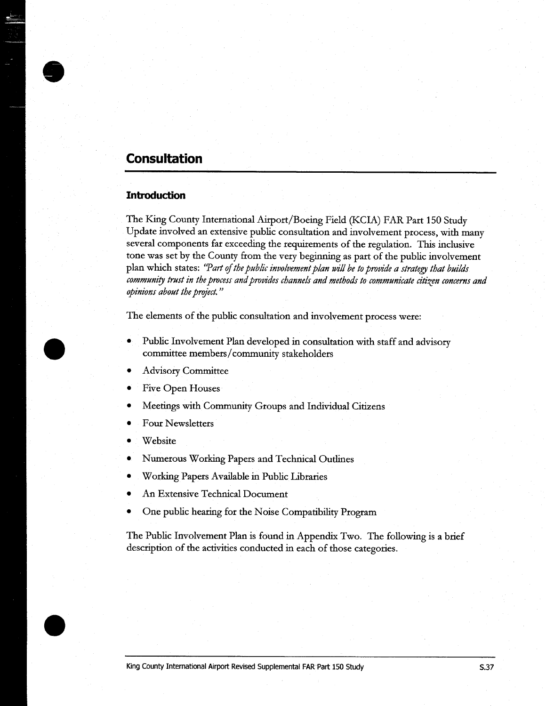# **Consultation**

## **Introduction**

The King County International Airport/Boeing Field (KCIA) FAR Part 150 Study Update involved an extensive public consultation and involvement process, with many several components far exceeding the requirements of the regulation . This inclusive tone was set by the County from the very beginning as part of the public involvement plan which states: "Part of the public involvement plan will be to provide a strategy that builds community trust in the process and provides channels and methods to communicate citizen concerns and opinions about the project. "

The elements of the public consultation and involvement process were:

- " Public Involvement Plan developed in consultation with staff and advisory committee members /community stakeholders
- Advisory Committee  $\bullet$
- Five Open Houses
- Meetings with Community Groups and Individual Citizens
- **•** Four Newsletters
- **Website**
- Numerous Working Papers and Technical Outlines  $\bullet$
- Working Papers Available in Public Libraries
- An Extensive Technical Document
- One public hearing for the Noise Compatibility Program

The Public Involvement Plan is found in Appendix Two. The following is a brief description of the activities conducted in each of those categories.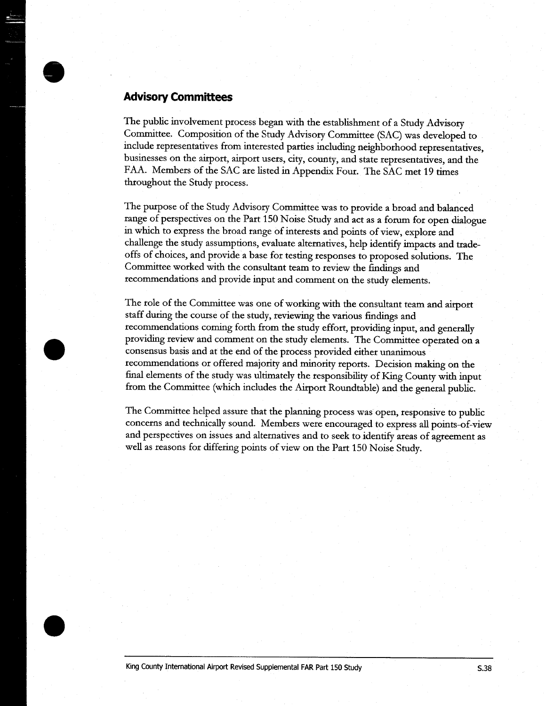## Advisory Committees

The public involvement process began with the establishment of <sup>a</sup> Study Advisory Committee. Composition of the Study Advisory Committee (SAC) was developed to include representatives from interested parties including neighborhood representatives, businesses on the airport, airport users, city, county, and state representatives, and the FAA. Members of the SAC are listed in Appendix Four. The SAC met <sup>19</sup> times throughout the Study process.

The purpose of the Study Advisory Committee was to provide <sup>a</sup> broad and balanced range of perspectives on the Part 150 Noise Study and act as a forum for open dialogue in which to express the broad range of interests and points of view, explore and challenge the study assumptions, evaluate alternatives, help identify impacts and tradeoffs of choices, and provide a base for testing responses to proposed solutions . The Committee worked with the consultant team to review the findings and recommendations and provide input and comment on the study elements.

The role of the Committee was one of working with the consultant team and airport staff during the course of the study, reviewing the various findings and recommendations coming forth from the study effort, providing input, and generally providing review and comment on the study elements. The Committee operated on a consensus basis and at the end of the process provided either unanimous recommendations or offered majority and minority reports . Decision making on the final elements of the study was ultimately the responsibility of King County with input from the Committee (which includes the Airport Roundtable) and the general public.

The Committee helped assure that the planning process was open, responsive to public concerns and technically sound. Members were encouraged to express all points-of-view and perspectives on issues and alternatives and to seek to identify areas of agreement as well as reasons for differing points of view on the Part 150 Noise Study.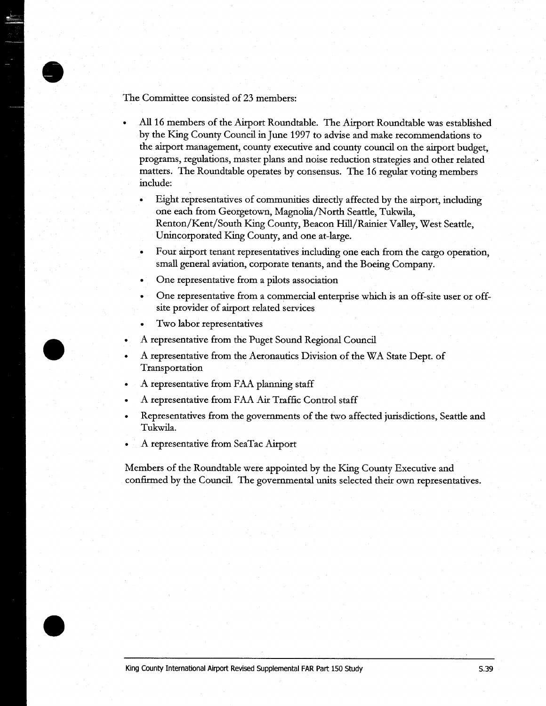The Committee consisted of 23 members:

- All 16 members of the Airport Roundtable. The Airport Roundtable was established by the King County Council in June 1997 to advise and make recommendations to the airport management, county executive and county council on the airport budget, programs, regulations, master plans and noise reduction strategies and other related matters. The Roundtable operates by consensus. The 16 regular voting members include:
	- Eight representatives of communities directly affected by the airport, including one each from Georgetown, Magnolia/North Seattle, Tukwila, Renton/Kent/South King County, Beacon Hill/Rainier Valley, West Seattle, Unincorporated King County, and one at-large.
	- Four airport tenant representatives including one each from the cargo operation, small general aviation, corporate tenants, and the Boeing Company.
	- One representative from a pilots association
	- " One representative from a commercial enterprise which is an off-site user or offsite provider of airport related services
	- Two labor representatives
- A representative from the Puget Sound Regional Council
- Arepresentative from the Aeronautics Division of the WA State Dept. of Transportation
- A representative from FAA planning staff
- A representative from FAA Air Traffic Control staff
- Representatives from the governments of the two affected jurisdictions, Seattle and Tukwila.
- A representative from SeaTac Airport

Members of the Roundtable were appointed by the King County Executive and confirmed by the Council. The governmental units selected their own representatives.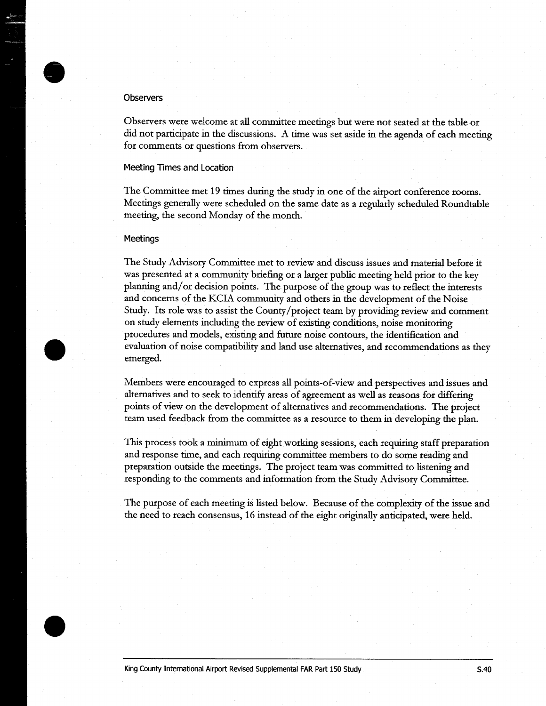#### **Observers**

Observers were welcome at all committee meetings but were not seated at the table or did not participate in the discussions . A time was set aside in the agenda of each meeting for comments or questions from observers.

#### Meeting Times and Location

The Committee met 19 times during the study in one of the airport conference rooms. Meetings generally were scheduled on the same date as a regularly scheduled Roundtable meeting, the second Monday of the month.

#### Meetings

The Study Advisory Committee met to review and discuss issues and material before it was presented at <sup>a</sup> community briefing or <sup>a</sup> larger public meeting held prior to the key planning and/or decision points. The purpose of the group was to reflect the interests and concerns of the KCIA community and others in the development of the Noise Study. Its role was to assist the County/project team by providing review and comment on study elements including the review of existing conditions, noise monitoring procedures and models, existing and future noise contours, the identification and evaluation of noise compatibility and land use alternatives, and recommendations as they emerged.

Members were encouraged to express all points-of-view and perspectives and issues and alternatives and to seek to identify areas of agreement as well as reasons for differing points of view on the development of alternatives and recommendations. The project team used feedback from the committee as a resource to them in developing the plan.

This process took <sup>a</sup> minimum of eight working sessions, each requiring staff preparation and response time, and each requiring committee members to do some reading and preparation outside the meetings. The project team was committed to listening and responding to the comments and information from the Study Advisory Committee.

The purpose of each meeting is listed below. Because of the complexity of the issue and the need to reach consensus, 16 instead of the eight originally anticipated, were held.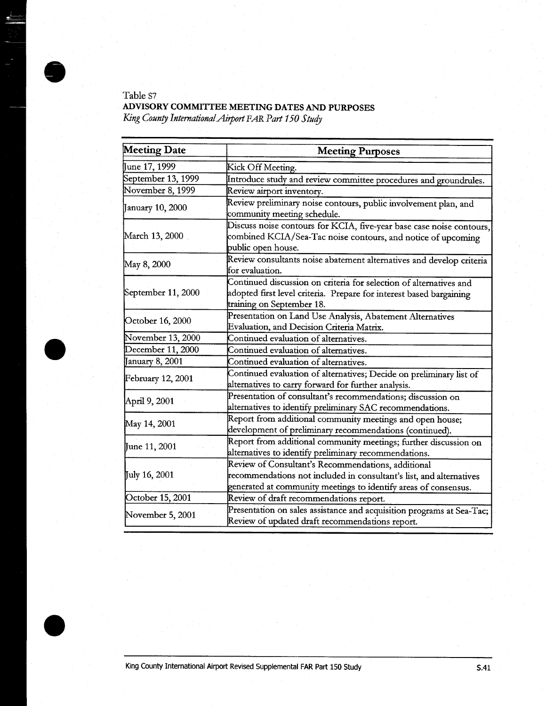## Table S7 ADVISORY COMMITTEE MEETING DATES AND PURPOSES King County International Airport FAR Part 150 Study

| <b>Meeting Date</b> | <b>Meeting Purposes</b>                                                                                                                                                                      |
|---------------------|----------------------------------------------------------------------------------------------------------------------------------------------------------------------------------------------|
| June 17, 1999       | Kick Off Meeting.                                                                                                                                                                            |
| September 13, 1999  | Introduce study and review committee procedures and groundrules.                                                                                                                             |
| November 8, 1999    | Review airport inventory.                                                                                                                                                                    |
| January 10, 2000    | Review preliminary noise contours, public involvement plan, and<br>community meeting schedule.                                                                                               |
| March 13, 2000      | Discuss noise contours for KCIA, five-year base case noise contours,<br>combined KCIA/Sea-Tac noise contours, and notice of upcoming<br>public open house.                                   |
| May 8, 2000         | Review consultants noise abatement alternatives and develop criteria<br>for evaluation.                                                                                                      |
| September 11, 2000  | Continued discussion on criteria for selection of alternatives and<br>adopted first level criteria. Prepare for interest based bargaining<br>training on September 18.                       |
| October 16, 2000    | Presentation on Land Use Analysis, Abatement Alternatives<br>Evaluation, and Decision Criteria Matrix.                                                                                       |
| November 13, 2000   | Continued evaluation of alternatives.                                                                                                                                                        |
| December 11, 2000   | Continued evaluation of alternatives.                                                                                                                                                        |
| anuary 8, 2001      | Continued evaluation of alternatives.                                                                                                                                                        |
| February 12, 2001   | Continued evaluation of alternatives; Decide on preliminary list of<br>alternatives to carry forward for further analysis.                                                                   |
| April 9, 2001       | Presentation of consultant's recommendations; discussion on<br>alternatives to identify preliminary SAC recommendations.                                                                     |
| May 14, 2001        | Report from additional community meetings and open house;<br>development of preliminary recommendations (continued).                                                                         |
| June 11, 2001       | Report from additional community meetings; further discussion on<br>alternatives to identify preliminary recommendations.                                                                    |
| July 16, 2001       | Review of Consultant's Recommendations, additional<br>recommendations not included in consultant's list, and alternatives<br>generated at community meetings to identify areas of consensus. |
| October 15, 2001    | Review of draft recommendations report.                                                                                                                                                      |
| November 5, 2001    | Presentation on sales assistance and acquisition programs at Sea-Tac;<br>Review of updated draft recommendations report.                                                                     |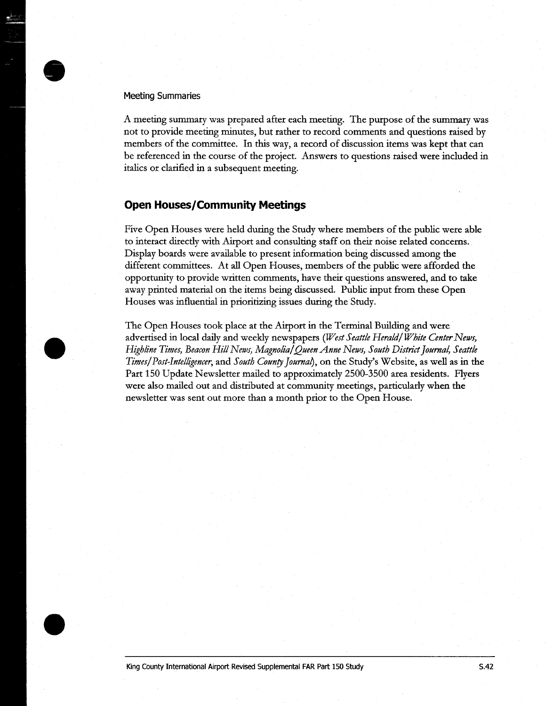#### Meeting Summaries

Ameeting summary was prepared after each meeting. The purpose of the summary was not to provide meeting minutes, but rather to record comments and questions raised by members of the committee. In this way, a record of discussion items was kept that can be referenced in the course of the project. Answers to questions raised were included in italics or clarified in a subsequent meeting.

#### Open Houses/Community Meetings

Five Open Houses were held during the Study where members of the public were able to interact directly with Airport and consulting staff on their noise related concerns. Display boards were available to present information being discussed among the different committees. At all Open Houses, members of the public were afforded the opportunity to provide written comments, have their questions answered, and to take away printed material on the items being discussed. Public input from these Open Houses was influential in prioritizing issues during the Study.

The Open Houses took place at the Airport in the Terminal Building and were advertised in local daily and weekly newspapers (West Seattle Herald/ White Center News, Highline Times, Beacon Hill News, Magnolia|Queen Anne News, South District Journal, Seattle Times/Post-Intelligencer, and South County Journal, on the Study's Website, as well as in the Part 150 Update Newsletter mailed to approximately 2500-3500 area residents. Flyers were also mailed out and distributed at community meetings, particularly when the newsletter was sent out more than a month prior to the Open House.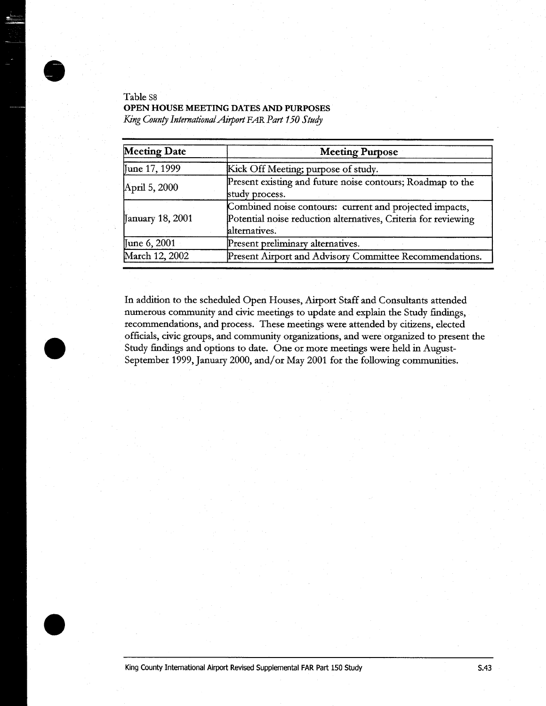### Table S8 OPEN HOUSE MEETING DATES AND PURPOSES King County International Airport FAR Part 150 Study

| <b>Meeting Date</b> | <b>Meeting Purpose</b>                                                                                                                     |
|---------------------|--------------------------------------------------------------------------------------------------------------------------------------------|
| June 17, 1999       | Kick Off Meeting; purpose of study.                                                                                                        |
| April 5, 2000       | Present existing and future noise contours; Roadmap to the<br>study process.                                                               |
| January 18, 2001    | Combined noise contours: current and projected impacts,<br>Potential noise reduction alternatives, Criteria for reviewing<br>alternatives. |
| June 6, 2001        | Present preliminary alternatives.                                                                                                          |
| March 12, 2002      | Present Airport and Advisory Committee Recommendations.                                                                                    |

In addition to the scheduled Open Houses, Airport Staff and Consultants attended numerous community and civic meetings to update and explain the Study findings, recommendations, and process. These meetings were attended by citizens, elected officials, civic groups, and community organizations, and were organized to present the Study findings and options to date. One or more meetings were held in August-September 1999, January 2000, and/or May 2001 for the following communities.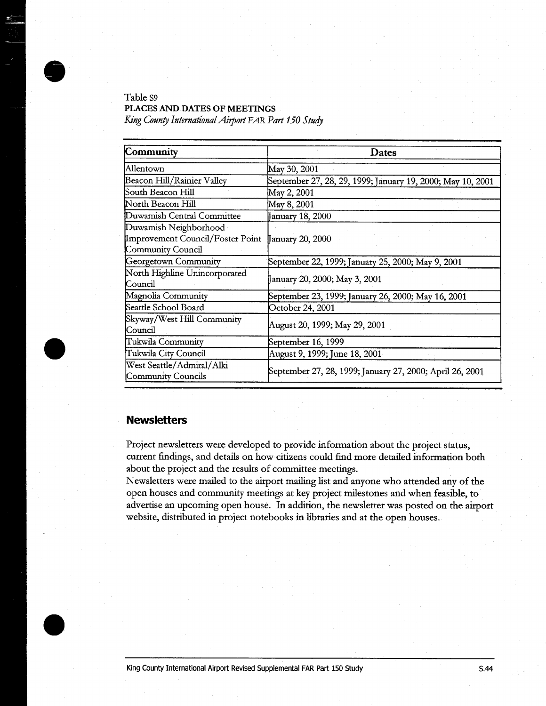## Table S9 PLACES AND DATES OF MEETINGS King County International Airport FAR Part 150 Study

| Community                                                                      | <b>Dates</b>                                               |
|--------------------------------------------------------------------------------|------------------------------------------------------------|
| lAllentown                                                                     | May 30, 2001                                               |
| Beacon Hill/Rainier Valley                                                     | September 27, 28, 29, 1999; January 19, 2000; May 10, 2001 |
| South Beacon Hill                                                              | May 2, 2001                                                |
| North Beacon Hill                                                              | May 8, 2001                                                |
| Duwamish Central Committee                                                     | January 18, 2000                                           |
| Duwamish Neighborhood<br>Improvement Council/Foster Point<br>Community Council | January 20, 2000                                           |
| Georgetown Community                                                           | September 22, 1999; January 25, 2000; May 9, 2001          |
| North Highline Unincorporated<br>Council                                       | January 20, 2000; May 3, 2001                              |
| Magnolia Community                                                             | September 23, 1999; January 26, 2000; May 16, 2001         |
| Seattle School Board                                                           | October 24, 2001                                           |
| Skyway/West Hill Community<br>Council                                          | August 20, 1999; May 29, 2001                              |
| Tukwila Community                                                              | September 16, 1999                                         |
| Tukwila City Council                                                           | August 9, 1999; June 18, 2001                              |
| West Seattle/Admiral/Alki<br>Community Councils                                | September 27, 28, 1999; January 27, 2000; April 26, 2001   |

## **Newsletters**

Project newsletters were developed to provide information about the project status, current findings, and details on how citizens could find more detailed information both about the project and the results of committee meetings.

Newsletters were mailed to the airport mailing list and anyone who attended any of the open houses and community meetings at key project milestones and when feasible, to advertise an upcoming open house. In addition, the newsletter was posted on the airport website, distributed in project notebooks in libraries and at the open houses.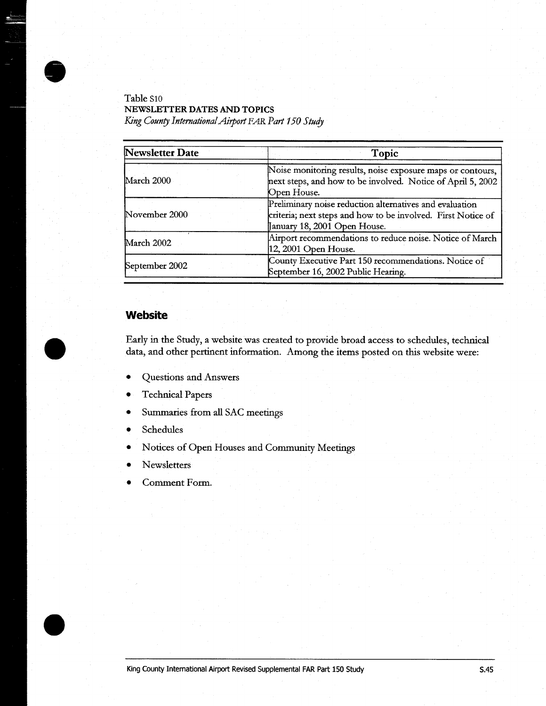## Table S10 NEWSLETTER DATESAND TOPICS King County International Airport FAR Part 150 Study

| Newsletter Date | Topic                                                                                                                                                   |
|-----------------|---------------------------------------------------------------------------------------------------------------------------------------------------------|
| March 2000      | Noise monitoring results, noise exposure maps or contours,<br>next steps, and how to be involved. Notice of April 5, 2002<br>Open House.                |
| November 2000   | Preliminary noise reduction alternatives and evaluation<br>criteria; next steps and how to be involved. First Notice of<br>January 18, 2001 Open House. |
| March 2002      | Airport recommendations to reduce noise. Notice of March<br>12, 2001 Open House.                                                                        |
| September 2002  | County Executive Part 150 recommendations. Notice of<br>September 16, 2002 Public Hearing.                                                              |

## **Website**

Early in the Study, a website was created to provide broad access to schedules, technical data, and other pertinent information. Among the items posted on this website were:

- Questions and Answers
- $\bullet$  Technical Papers
- " Summaries from all SAC meetings
- Schedules  $\bullet$
- $\bullet$  Notices of Open Houses and Community Meetings
- Newsletters
- Comment Form.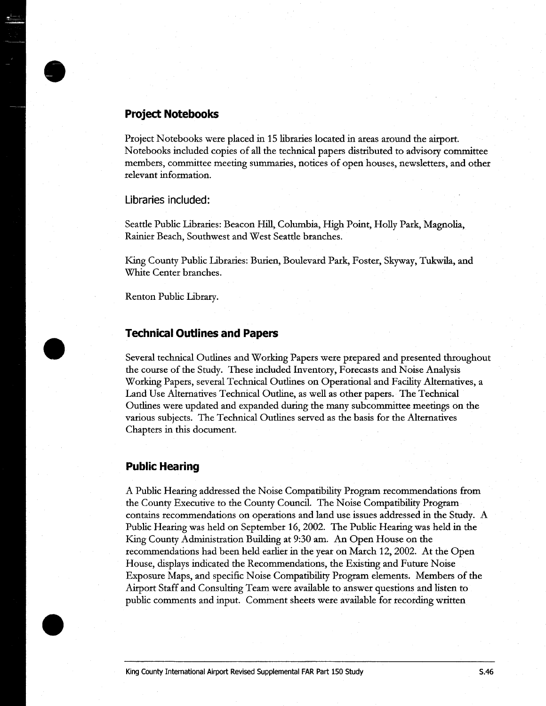## Project Notebooks

Project Notebooks were placed in 15 libraries located in areas around the airport. Notebooks included copies of all the technical papers distributed to advisory committee members, committee meeting summaries, notices of open houses, newsletters, and other relevant information.

#### Libraries included:

Seattle Public Libraries: Beacon Hill, Columbia, High Point, Holly Park, Magnolia, Rainier Beach, Southwest and West Seattle branches.

King County Public Libraries: Burien, Boulevard Park, Foster, Skyway, Tukwila, and White Center branches.

Renton Public Library.

## Technical Outlines and Papers

Several technical Outlines and Working Papers were prepared and presented throughout the course of the Study. These included Inventory, Forecasts and Noise Analysis Working Papers, several Technical Outlines on Operational and Facility Alternatives, a Land Use Alternatives Technical Outline, as well as other papers.- The Technical Outlines were updated and expanded during the many subcommittee meetings on the various subjects . The Technical Outlines served as the basis for the Alternatives Chapters in this document.

#### Public Hearing

A Public Hearing addressed the Noise Compatibility Program recommendations from the County Executive to the County Council. The Noise Compatibility Program contains recommendations on operations and land use issues addressed in the Study. A Public Hearing was held on September 16, 2002. The Public Hearing was held in the King County Administration Building at 9:30 am. An Open House on the recommendations had been held earlier in the year on March 12, 2002. At the Open House, displays indicated the Recommendations, the Existing and Future Noise Exposure Maps, and specific Noise Compatibility Program elements. Members of the Airport Staff and Consulting Team were available to answer questions and listen to public comments and input. Comment sheets were available for recording written